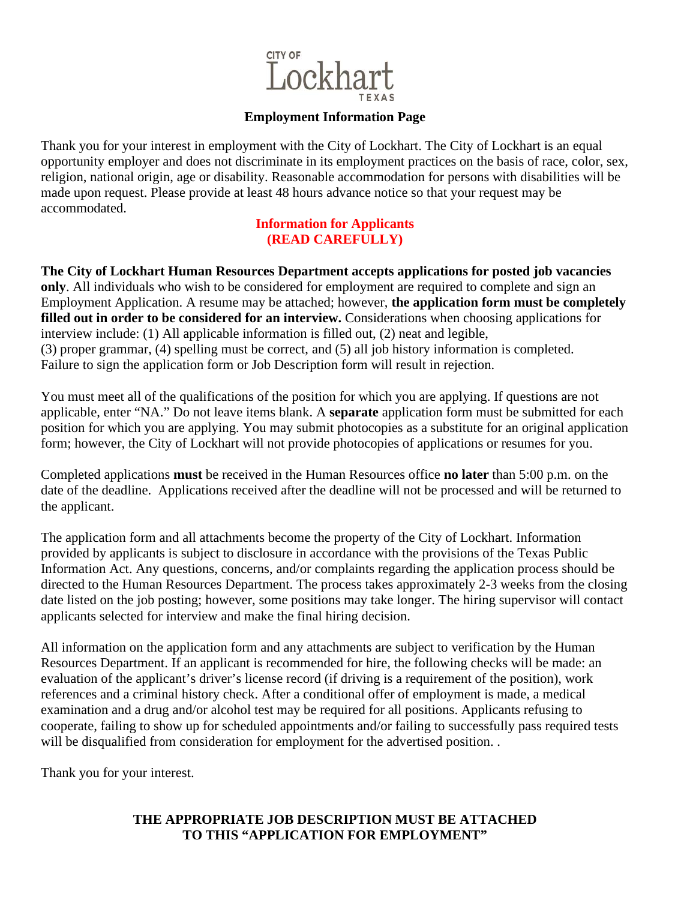

### **Employment Information Page**

Thank you for your interest in employment with the City of Lockhart. The City of Lockhart is an equal opportunity employer and does not discriminate in its employment practices on the basis of race, color, sex, religion, national origin, age or disability. Reasonable accommodation for persons with disabilities will be made upon request. Please provide at least 48 hours advance notice so that your request may be accommodated.

#### **Information for Applicants (READ CAREFULLY)**

**The City of Lockhart Human Resources Department accepts applications for posted job vacancies only**. All individuals who wish to be considered for employment are required to complete and sign an Employment Application. A resume may be attached; however, **the application form must be completely filled out in order to be considered for an interview.** Considerations when choosing applications for interview include: (1) All applicable information is filled out, (2) neat and legible, (3) proper grammar, (4) spelling must be correct, and (5) all job history information is completed. Failure to sign the application form or Job Description form will result in rejection.

You must meet all of the qualifications of the position for which you are applying. If questions are not applicable, enter "NA." Do not leave items blank. A **separate** application form must be submitted for each position for which you are applying. You may submit photocopies as a substitute for an original application form; however, the City of Lockhart will not provide photocopies of applications or resumes for you.

Completed applications **must** be received in the Human Resources office **no later** than 5:00 p.m. on the date of the deadline. Applications received after the deadline will not be processed and will be returned to the applicant.

The application form and all attachments become the property of the City of Lockhart. Information provided by applicants is subject to disclosure in accordance with the provisions of the Texas Public Information Act. Any questions, concerns, and/or complaints regarding the application process should be directed to the Human Resources Department. The process takes approximately 2-3 weeks from the closing date listed on the job posting; however, some positions may take longer. The hiring supervisor will contact applicants selected for interview and make the final hiring decision.

All information on the application form and any attachments are subject to verification by the Human Resources Department. If an applicant is recommended for hire, the following checks will be made: an evaluation of the applicant's driver's license record (if driving is a requirement of the position), work references and a criminal history check. After a conditional offer of employment is made, a medical examination and a drug and/or alcohol test may be required for all positions. Applicants refusing to cooperate, failing to show up for scheduled appointments and/or failing to successfully pass required tests will be disqualified from consideration for employment for the advertised position. .

Thank you for your interest.

# **THE APPROPRIATE JOB DESCRIPTION MUST BE ATTACHED TO THIS "APPLICATION FOR EMPLOYMENT"**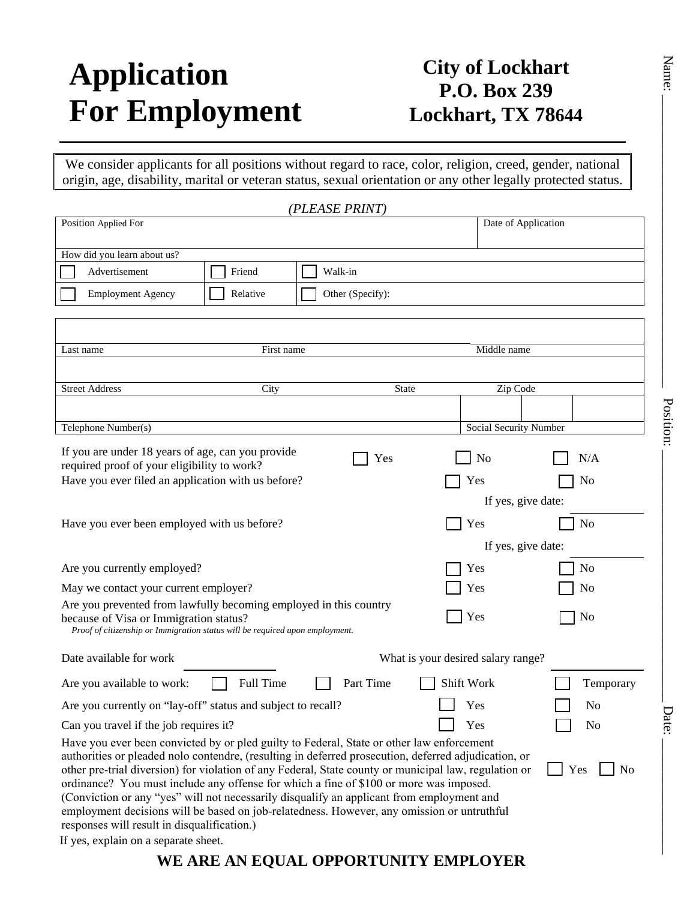# **Application For Employment**

# **City of Lockhart P.O. Box 239 Lockhart, TX 78644**

We consider applicants for all positions without regard to race, color, religion, creed, gender, national origin, age, disability, marital or veteran status, sexual orientation or any other legally protected status.

| (PLEASE PRINT)                                                                                                                                                                                  |                                    |           |
|-------------------------------------------------------------------------------------------------------------------------------------------------------------------------------------------------|------------------------------------|-----------|
| Position Applied For                                                                                                                                                                            | Date of Application                |           |
|                                                                                                                                                                                                 |                                    |           |
| How did you learn about us?                                                                                                                                                                     |                                    |           |
| Advertisement<br>Friend<br>Walk-in                                                                                                                                                              |                                    |           |
| Relative<br>Other (Specify):<br><b>Employment Agency</b>                                                                                                                                        |                                    |           |
|                                                                                                                                                                                                 |                                    |           |
|                                                                                                                                                                                                 |                                    |           |
| First name<br>Last name                                                                                                                                                                         | Middle name                        |           |
|                                                                                                                                                                                                 |                                    |           |
| <b>Street Address</b><br>City<br><b>State</b>                                                                                                                                                   | Zip Code                           |           |
|                                                                                                                                                                                                 |                                    |           |
| Telephone Number(s)                                                                                                                                                                             | Social Security Number             | Position: |
|                                                                                                                                                                                                 |                                    |           |
| If you are under 18 years of age, can you provide<br>Yes                                                                                                                                        | N/A<br>N <sub>0</sub>              |           |
| required proof of your eligibility to work?<br>Have you ever filed an application with us before?                                                                                               | No<br>Yes                          |           |
|                                                                                                                                                                                                 | If yes, give date:                 |           |
|                                                                                                                                                                                                 |                                    |           |
| Have you ever been employed with us before?                                                                                                                                                     | Yes<br>No                          |           |
|                                                                                                                                                                                                 | If yes, give date:                 |           |
| Are you currently employed?                                                                                                                                                                     | No<br>Yes                          |           |
| May we contact your current employer?                                                                                                                                                           | Yes<br>No                          |           |
| Are you prevented from lawfully becoming employed in this country                                                                                                                               |                                    |           |
| because of Visa or Immigration status?                                                                                                                                                          | Yes<br>No                          |           |
| Proof of citizenship or Immigration status will be required upon employment.                                                                                                                    |                                    |           |
| Date available for work                                                                                                                                                                         | What is your desired salary range? |           |
| Full Time<br>Part Time<br>Are you available to work:                                                                                                                                            | Shift Work                         | Temporary |
| Are you currently on "lay-off" status and subject to recall?                                                                                                                                    | Yes<br>No                          |           |
| Can you travel if the job requires it?                                                                                                                                                          | Yes<br>No                          | Jate:     |
| Have you ever been convicted by or pled guilty to Federal, State or other law enforcement                                                                                                       |                                    |           |
| authorities or pleaded nolo contendre, (resulting in deferred prosecution, deferred adjudication, or                                                                                            |                                    |           |
| other pre-trial diversion) for violation of any Federal, State county or municipal law, regulation or<br>ordinance? You must include any offense for which a fine of \$100 or more was imposed. | Yes                                | <b>No</b> |
| (Conviction or any "yes" will not necessarily disqualify an applicant from employment and                                                                                                       |                                    |           |
| employment decisions will be based on job-relatedness. However, any omission or untruthful                                                                                                      |                                    |           |
| responses will result in disqualification.)                                                                                                                                                     |                                    |           |
| If yes, explain on a separate sheet.                                                                                                                                                            |                                    |           |

**WE ARE AN EQUAL OPPORTUNITY EMPLOYER**

 ${\rm Nannier}$  .  ${\rm Dots}$ Date: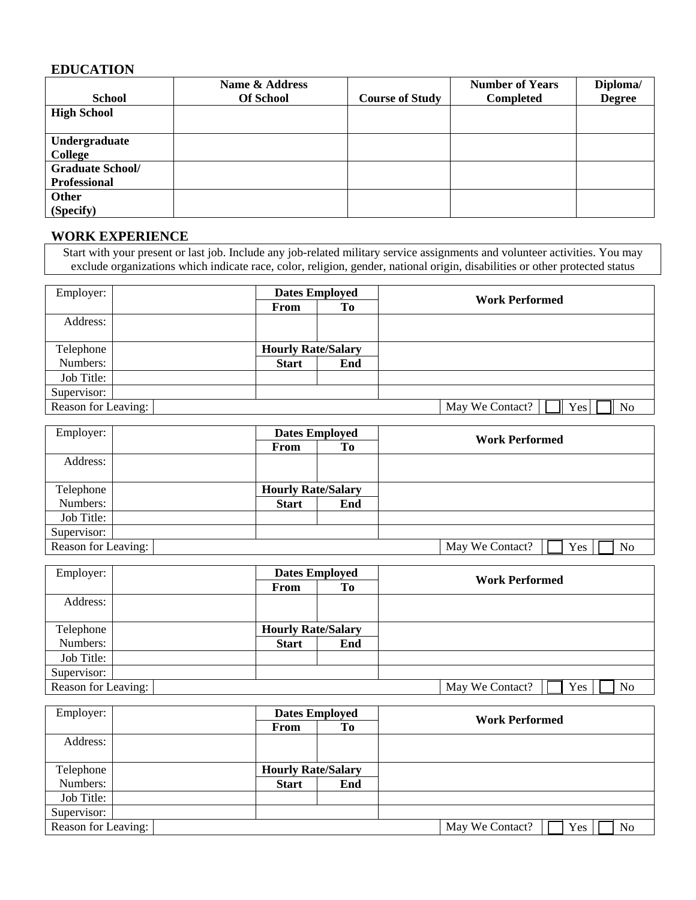# **EDUCATION**

|                         | Name & Address   |                        | <b>Number of Years</b> | Diploma/      |
|-------------------------|------------------|------------------------|------------------------|---------------|
| <b>School</b>           | <b>Of School</b> | <b>Course of Study</b> | Completed              | <b>Degree</b> |
| <b>High School</b>      |                  |                        |                        |               |
|                         |                  |                        |                        |               |
| Undergraduate           |                  |                        |                        |               |
| College                 |                  |                        |                        |               |
| <b>Graduate School/</b> |                  |                        |                        |               |
| <b>Professional</b>     |                  |                        |                        |               |
| <b>Other</b>            |                  |                        |                        |               |
| (Specify)               |                  |                        |                        |               |

# **WORK EXPERIENCE**

Start with your present or last job. Include any job-related military service assignments and volunteer activities. You may exclude organizations which indicate race, color, religion, gender, national origin, disabilities or other protected status

| Employer:           | <b>Dates Employed</b>     |                | <b>Work Performed</b>        |  |
|---------------------|---------------------------|----------------|------------------------------|--|
|                     | From                      | T <sub>0</sub> |                              |  |
| Address:            |                           |                |                              |  |
|                     |                           |                |                              |  |
| Telephone           | <b>Hourly Rate/Salary</b> |                |                              |  |
| Numbers:            | <b>Start</b>              | End            |                              |  |
| Job Title:          |                           |                |                              |  |
| Supervisor:         |                           |                |                              |  |
| Reason for Leaving: |                           |                | May We Contact?<br>Yes<br>No |  |

| Employer:           | <b>Dates Employed</b>     |     | <b>Work Performed</b>        |
|---------------------|---------------------------|-----|------------------------------|
|                     | <b>From</b>               | Tо  |                              |
| Address:            |                           |     |                              |
|                     |                           |     |                              |
| Telephone           | <b>Hourly Rate/Salary</b> |     |                              |
| Numbers:            | <b>Start</b>              | End |                              |
| Job Title:          |                           |     |                              |
| Supervisor:         |                           |     |                              |
| Reason for Leaving: |                           |     | May We Contact?<br>Yes<br>No |

| Employer:           | <b>Dates Employed</b>     |                | <b>Work Performed</b>                    |  |
|---------------------|---------------------------|----------------|------------------------------------------|--|
|                     | From                      | T <sub>0</sub> |                                          |  |
| Address:            |                           |                |                                          |  |
|                     |                           |                |                                          |  |
| Telephone           | <b>Hourly Rate/Salary</b> |                |                                          |  |
| Numbers:            | <b>Start</b>              | End            |                                          |  |
| Job Title:          |                           |                |                                          |  |
| Supervisor:         |                           |                |                                          |  |
| Reason for Leaving: |                           |                | May We Contact?<br>Yes<br>N <sub>0</sub> |  |

| Employer:           | <b>Dates Employed</b>     |     | <b>Work Performed</b>        |
|---------------------|---------------------------|-----|------------------------------|
|                     | From                      | To  |                              |
| Address:            |                           |     |                              |
|                     |                           |     |                              |
| Telephone           | <b>Hourly Rate/Salary</b> |     |                              |
| Numbers:            | <b>Start</b>              | End |                              |
| Job Title:          |                           |     |                              |
| Supervisor:         |                           |     |                              |
| Reason for Leaving: |                           |     | May We Contact?<br>Yes<br>No |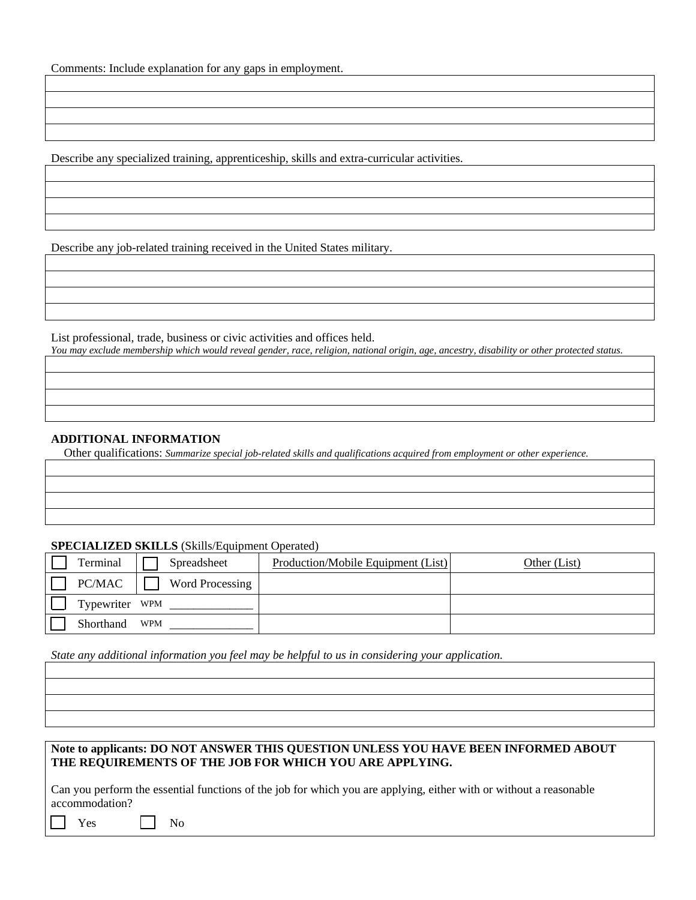Comments: Include explanation for any gaps in employment.

Describe any specialized training, apprenticeship, skills and extra-curricular activities.

Describe any job-related training received in the United States military.

List professional, trade, business or civic activities and offices held. *You may exclude membership which would reveal gender, race, religion, national origin, age, ancestry, disability or other protected status.* 

#### **ADDITIONAL INFORMATION**

Other qualifications: *Summarize special job-related skills and qualifications acquired from employment or other experience.* 

#### **SPECIALIZED SKILLS** (Skills/Equipment Operated)

| Terminal       | Spreadsheet     | Production/Mobile Equipment (List) | Other (List) |
|----------------|-----------------|------------------------------------|--------------|
| PC/MAC         | Word Processing |                                    |              |
| Typewriter WPM |                 |                                    |              |
| Shorthand      | WPM             |                                    |              |

*State any additional information you feel may be helpful to us in considering your application.*

#### **Note to applicants: DO NOT ANSWER THIS QUESTION UNLESS YOU HAVE BEEN INFORMED ABOUT THE REQUIREMENTS OF THE JOB FOR WHICH YOU ARE APPLYING.**

Can you perform the essential functions of the job for which you are applying, either with or without a reasonable accommodation?

| ۰,<br>٠<br>۰, |
|---------------|
|---------------|

No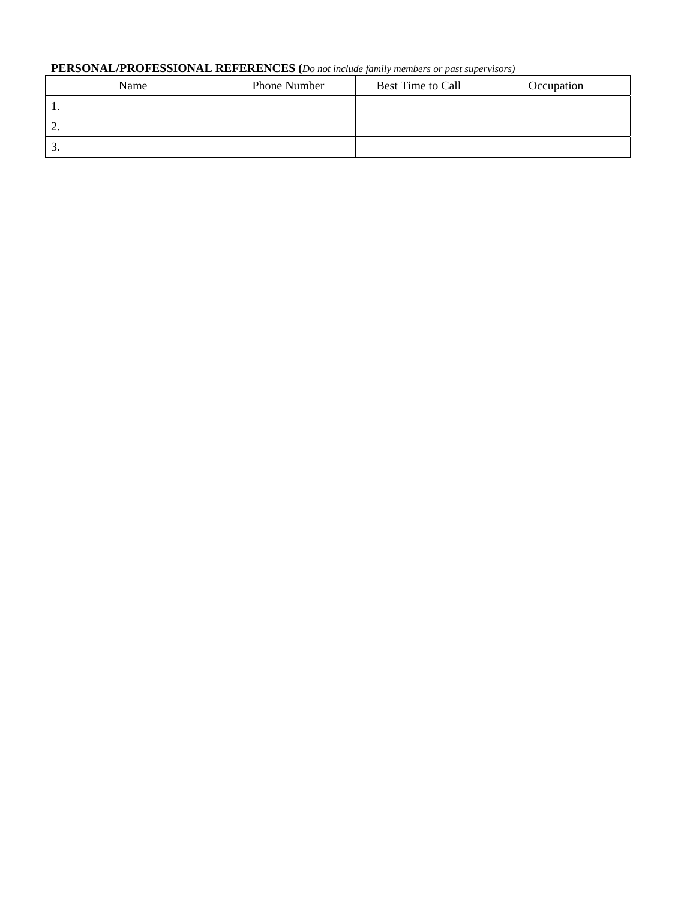## **PERSONAL/PROFESSIONAL REFERENCES (***Do not include family members or past supervisors)*

| Name | Phone Number | Best Time to Call | Occupation |
|------|--------------|-------------------|------------|
| . .  |              |                   |            |
| ∠.   |              |                   |            |
| J.   |              |                   |            |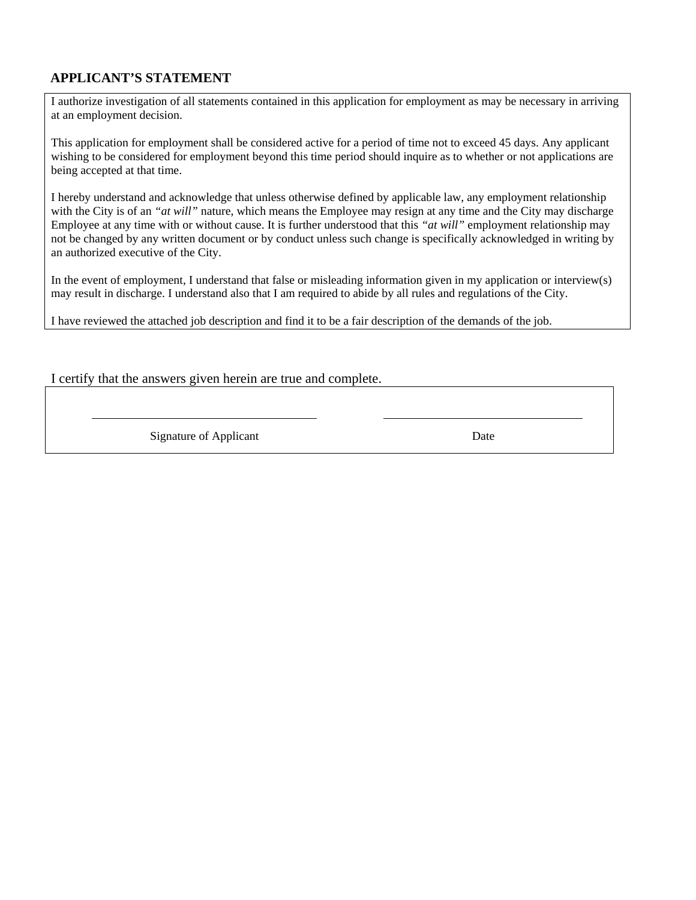# **APPLICANT'S STATEMENT**

I authorize investigation of all statements contained in this application for employment as may be necessary in arriving at an employment decision.

This application for employment shall be considered active for a period of time not to exceed 45 days. Any applicant wishing to be considered for employment beyond this time period should inquire as to whether or not applications are being accepted at that time.

I hereby understand and acknowledge that unless otherwise defined by applicable law, any employment relationship with the City is of an *"at will"* nature, which means the Employee may resign at any time and the City may discharge Employee at any time with or without cause. It is further understood that this *"at will"* employment relationship may not be changed by any written document or by conduct unless such change is specifically acknowledged in writing by an authorized executive of the City.

In the event of employment, I understand that false or misleading information given in my application or interview(s) may result in discharge. I understand also that I am required to abide by all rules and regulations of the City.

I have reviewed the attached job description and find it to be a fair description of the demands of the job.

#### I certify that the answers given herein are true and complete.

Signature of Applicant Date